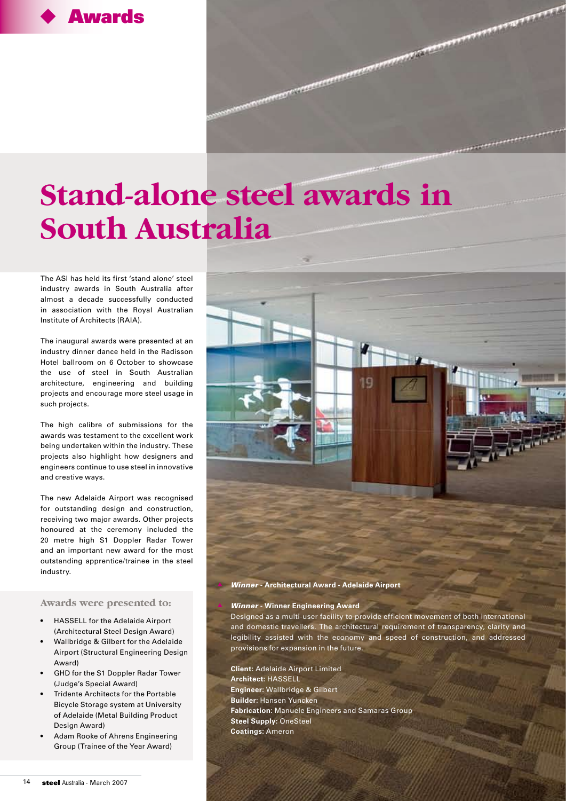## **Awards**

# **Stand-alone steel awards in South Australia**

The ASI has held its first 'stand alone' steel industry awards in South Australia after almost a decade successfully conducted in association with the Royal Australian Institute of Architects (RAIA).

The inaugural awards were presented at an industry dinner dance held in the Radisson Hotel ballroom on 6 October to showcase the use of steel in South Australian architecture, engineering and building projects and encourage more steel usage in such projects.

The high calibre of submissions for the awards was testament to the excellent work being undertaken within the industry. These projects also highlight how designers and engineers continue to use steel in innovative and creative ways.

The new Adelaide Airport was recognised for outstanding design and construction, receiving two major awards. Other projects honoured at the ceremony included the 20 metre high S1 Doppler Radar Tower and an important new award for the most outstanding apprentice/trainee in the steel industry.

#### **Awards were presented to:**

- HASSELL for the Adelaide Airport (Architectural Steel Design Award)
- Wallbridge & Gilbert for the Adelaide Airport (Structural Engineering Design Award)
- GHD for the S1 Doppler Radar Tower (Judge's Special Award)
- Tridente Architects for the Portable Bicycle Storage system at University of Adelaide (Metal Building Product Design Award)
- Adam Rooke of Ahrens Engineering Group (Trainee of the Year Award)



#### p Winner **- Architectural Award - Adelaide Airport**

#### **Winner - Winner Engineering Award**

 Designed as a multi-user facility to provide efficient movement of both international and domestic travellers. The architectural requirement of transparency, clarity and legibility assisted with the economy and speed of construction, and addressed provisions for expansion in the future.

**Client:** Adelaide Airport Limited **Architect:** HASSELL **Engineer:** Wallbridge & Gilbert **Builder:** Hansen Yuncken **Fabrication:** Manuele Engineers and Samaras Group **Steel Supply:** OneSteel **Coatings:** Ameron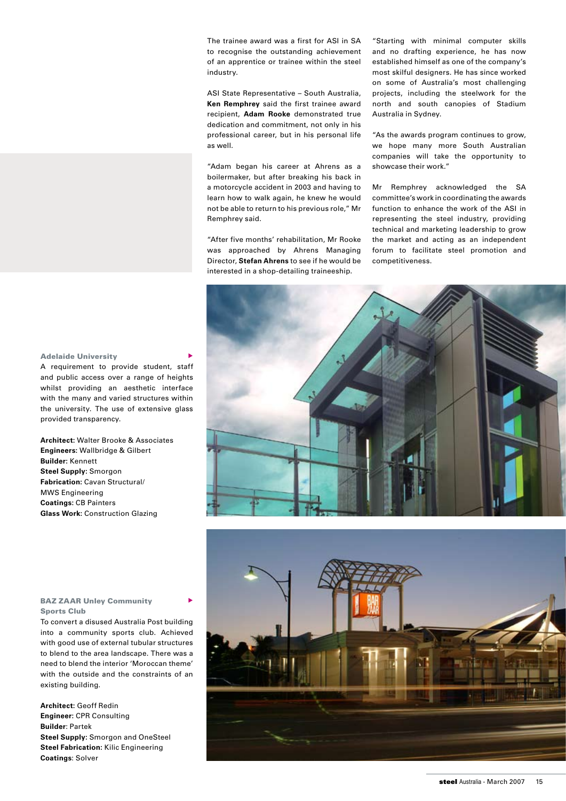The trainee award was a first for ASI in SA to recognise the outstanding achievement of an apprentice or trainee within the steel industry.

ASI State Representative – South Australia, **Ken Remphrey** said the first trainee award recipient, **Adam Rooke** demonstrated true dedication and commitment, not only in his professional career, but in his personal life as well.

"Adam began his career at Ahrens as a boilermaker, but after breaking his back in a motorcycle accident in 2003 and having to learn how to walk again, he knew he would not be able to return to his previous role," Mr Remphrey said.

"After five months' rehabilitation, Mr Rooke was approached by Ahrens Managing Director, **Stefan Ahrens** to see if he would be interested in a shop-detailing traineeship.

"Starting with minimal computer skills and no drafting experience, he has now established himself as one of the company's most skilful designers. He has since worked on some of Australia's most challenging projects, including the steelwork for the north and south canopies of Stadium Australia in Sydney.

"As the awards program continues to grow, we hope many more South Australian companies will take the opportunity to showcase their work."

Mr Remphrey acknowledged the SA committee's work in coordinating the awards function to enhance the work of the ASI in representing the steel industry, providing technical and marketing leadership to grow the market and acting as an independent forum to facilitate steel promotion and competitiveness.

### **Adelaide University**

A requirement to provide student, staff and public access over a range of heights whilst providing an aesthetic interface with the many and varied structures within the university. The use of extensive glass provided transparency.

**Architect:** Walter Brooke & Associates **Engineers:** Wallbridge & Gilbert **Builder:** Kennett **Steel Supply:** Smorgon **Fabrication:** Cavan Structural/ MWS Engineering **Coatings:** CB Painters **Glass Work:** Construction Glazing



#### **BAZ ZAAR Unley Community** Sports Club

To convert a disused Australia Post building into a community sports club. Achieved with good use of external tubular structures to blend to the area landscape. There was a need to blend the interior 'Moroccan theme' with the outside and the constraints of an existing building.

**Architect:** Geoff Redin **Engineer:** CPR Consulting **Builder**: Partek **Steel Supply:** Smorgon and OneSteel **Steel Fabrication:** Kilic Engineering **Coatings**: Solver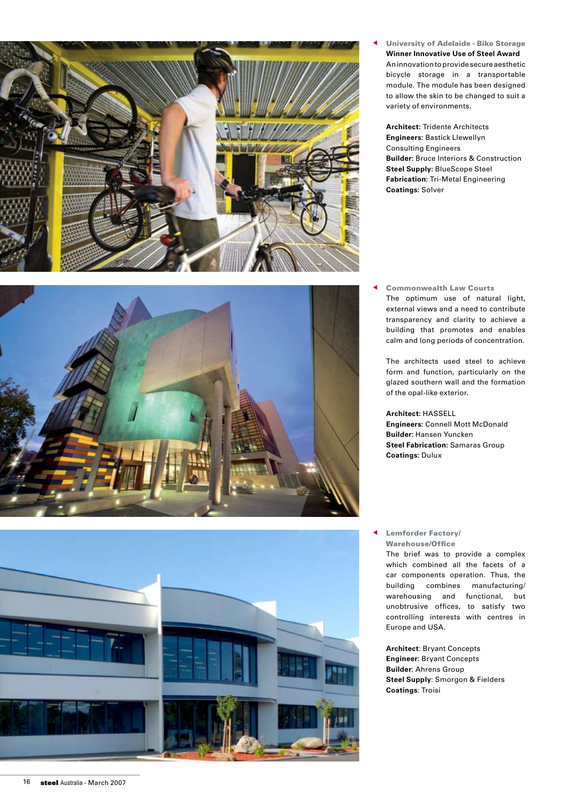

**University of Adelaide - Bike Storage Winner Innovative Use of Steel Award** An innovation to provide secure aesthetic bicycle storage in a transportable module. The module has been designed to allow the skin to be changed to suit a variety of environments.

**Architect:** Tridente Architects **Engineers:** Bastick Llewellyn Consulting Engineers **Builder:** Bruce Interiors & Construction **Steel Supply:** BlueScope Steel **Fabrication:** Tri-Metal Engineering **Coatings:** Solver



**Commonwealth Law Courts**  The optimum use of natural light, external views and a need to contribute transparency and clarity to achieve a building that promotes and enables calm and long periods of concentration.

 The architects used steel to achieve form and function, particularly on the glazed southern wall and the formation of the opal-like exterior**.**

**Architect:** HASSELL **Engineers:** Connell Mott McDonald **Builder:** Hansen Yuncken **Steel Fabrication:** Samaras Group **Coatings:** Dulux



#### Lemforder Factory/ Warehouse/Office

 The brief was to provide a complex which combined all the facets of a car components operation. Thus, the building combines manufacturing/ warehousing and functional, but unobtrusive offices, to satisfy two controlling interests with centres in Europe and USA.

**Architect**: Bryant Concepts **Engineer**: Bryant Concepts **Builder**: Ahrens Group **Steel Supply**: Smorgon & Fielders **Coatings**: Troisi